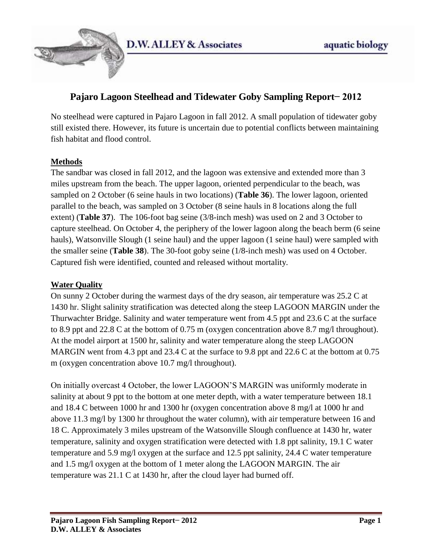

# **Pajaro Lagoon Steelhead and Tidewater Goby Sampling Report− 2012**

No steelhead were captured in Pajaro Lagoon in fall 2012. A small population of tidewater goby still existed there. However, its future is uncertain due to potential conflicts between maintaining fish habitat and flood control.

## **Methods**

The sandbar was closed in fall 2012, and the lagoon was extensive and extended more than 3 miles upstream from the beach. The upper lagoon, oriented perpendicular to the beach, was sampled on 2 October (6 seine hauls in two locations) (**Table 36**). The lower lagoon, oriented parallel to the beach, was sampled on 3 October (8 seine hauls in 8 locations along the full extent) (**Table 37**). The 106-foot bag seine (3/8-inch mesh) was used on 2 and 3 October to capture steelhead. On October 4, the periphery of the lower lagoon along the beach berm (6 seine hauls), Watsonville Slough (1 seine haul) and the upper lagoon (1 seine haul) were sampled with the smaller seine (**Table 38**). The 30-foot goby seine (1/8-inch mesh) was used on 4 October. Captured fish were identified, counted and released without mortality.

### **Water Quality**

On sunny 2 October during the warmest days of the dry season, air temperature was 25.2 C at 1430 hr. Slight salinity stratification was detected along the steep LAGOON MARGIN under the Thurwachter Bridge. Salinity and water temperature went from 4.5 ppt and 23.6 C at the surface to 8.9 ppt and 22.8 C at the bottom of 0.75 m (oxygen concentration above 8.7 mg/l throughout). At the model airport at 1500 hr, salinity and water temperature along the steep LAGOON MARGIN went from 4.3 ppt and 23.4 C at the surface to 9.8 ppt and 22.6 C at the bottom at 0.75 m (oxygen concentration above 10.7 mg/l throughout).

On initially overcast 4 October, the lower LAGOON'S MARGIN was uniformly moderate in salinity at about 9 ppt to the bottom at one meter depth, with a water temperature between 18.1 and 18.4 C between 1000 hr and 1300 hr (oxygen concentration above 8 mg/l at 1000 hr and above 11.3 mg/l by 1300 hr throughout the water column), with air temperature between 16 and 18 C. Approximately 3 miles upstream of the Watsonville Slough confluence at 1430 hr, water temperature, salinity and oxygen stratification were detected with 1.8 ppt salinity, 19.1 C water temperature and 5.9 mg/l oxygen at the surface and 12.5 ppt salinity, 24.4 C water temperature and 1.5 mg/l oxygen at the bottom of 1 meter along the LAGOON MARGIN. The air temperature was 21.1 C at 1430 hr, after the cloud layer had burned off.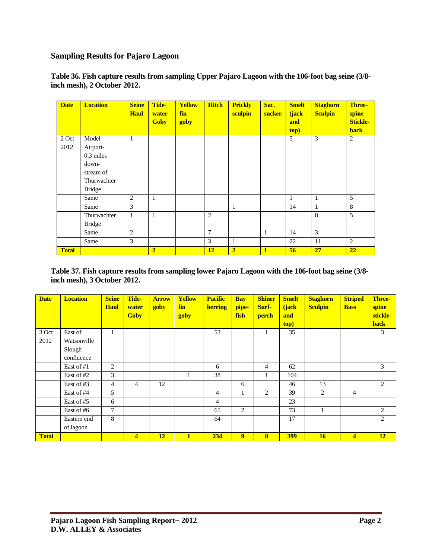### **Sampling Results for Pajaro Lagoon**

**Table 36. Fish capture results from sampling Upper Pajaro Lagoon with the 106-foot bag seine (3/8 inch mesh), 2 October 2012.**

| <b>Date</b>  | <b>Location</b> | <b>Seine</b><br><b>Haul</b> | Tide-<br>water<br><b>Goby</b> | <b>Yellow</b><br>fin<br>goby | <b>Hitch</b>   | <b>Prickly</b><br>sculpin | Sac.<br><b>sucker</b> | <b>Smelt</b><br>(jack<br>and<br>top) | <b>Staghorn</b><br><b>Sculpin</b> | <b>Three-</b><br>spine<br><b>Stickle-</b><br><b>back</b> |
|--------------|-----------------|-----------------------------|-------------------------------|------------------------------|----------------|---------------------------|-----------------------|--------------------------------------|-----------------------------------|----------------------------------------------------------|
| 2 Oct        | Model           | $\mathbf{1}$                |                               |                              |                |                           |                       | 5                                    | 3                                 | $\overline{2}$                                           |
| 2012         | Airport-        |                             |                               |                              |                |                           |                       |                                      |                                   |                                                          |
|              | 0.3 miles       |                             |                               |                              |                |                           |                       |                                      |                                   |                                                          |
|              | down-           |                             |                               |                              |                |                           |                       |                                      |                                   |                                                          |
|              | stream of       |                             |                               |                              |                |                           |                       |                                      |                                   |                                                          |
|              | Thurwachter     |                             |                               |                              |                |                           |                       |                                      |                                   |                                                          |
|              | <b>Bridge</b>   |                             |                               |                              |                |                           |                       |                                      |                                   |                                                          |
|              | Same            | $\overline{2}$              | 1                             |                              |                |                           |                       | 1                                    | 1                                 | 5                                                        |
|              | Same            | 3                           |                               |                              |                | $\mathbf{1}$              |                       | 14                                   | 1                                 | 8                                                        |
|              | Thurwachter     | 1                           | 1                             |                              | 2              |                           |                       |                                      | 8                                 | 5                                                        |
|              | <b>Bridge</b>   |                             |                               |                              |                |                           |                       |                                      |                                   |                                                          |
|              | Same            | $\overline{2}$              |                               |                              | $\overline{7}$ |                           | 1                     | 14                                   | 3                                 |                                                          |
|              | Same            | 3                           |                               |                              | 3              | $\mathbf{1}$              |                       | 22                                   | 11                                | 2                                                        |
| <b>Total</b> |                 |                             | $\overline{2}$                |                              | 12             | $\overline{2}$            | 1                     | 56                                   | 27                                | 22                                                       |

**Table 37. Fish capture results from sampling lower Pajaro Lagoon with the 106-foot bag seine (3/8 inch mesh), 3 October 2012.**

| <b>Date</b>  | <b>Location</b> | <b>Seine</b><br><b>Haul</b> | Tide-<br>water<br><b>Goby</b> | <b>Arrow</b><br><b>goby</b> | <b>Yellow</b><br>fin<br>goby | <b>Pacific</b><br>herring | <b>Bay</b><br>pipe-<br>fish | <b>Shiner</b><br>Surf-<br>perch | <b>Smelt</b><br>(jack<br>and<br>top) | <b>Staghorn</b><br><b>Sculpin</b> | <b>Striped</b><br><b>Bass</b> | Three-<br>spine<br>stickle-<br><b>back</b> |
|--------------|-----------------|-----------------------------|-------------------------------|-----------------------------|------------------------------|---------------------------|-----------------------------|---------------------------------|--------------------------------------|-----------------------------------|-------------------------------|--------------------------------------------|
| 3 Oct        | East of         | 1                           |                               |                             |                              | 53                        |                             |                                 | 35                                   |                                   |                               | 3                                          |
| 2012         | Watsonville     |                             |                               |                             |                              |                           |                             |                                 |                                      |                                   |                               |                                            |
|              | Slough          |                             |                               |                             |                              |                           |                             |                                 |                                      |                                   |                               |                                            |
|              | confluence      |                             |                               |                             |                              |                           |                             |                                 |                                      |                                   |                               |                                            |
|              | East of #1      | 2                           |                               |                             |                              | 6                         |                             | 4                               | 62                                   |                                   |                               | 3                                          |
|              | East of #2      | 3                           |                               |                             |                              | 38                        |                             |                                 | 104                                  |                                   |                               |                                            |
|              | East of #3      | 4                           | 4                             | 12                          |                              |                           | 6                           |                                 | 46                                   | 13                                |                               | 2                                          |
|              | East of #4      | 5                           |                               |                             |                              | $\overline{4}$            |                             | $\overline{2}$                  | 39                                   | $\overline{2}$                    | $\overline{4}$                |                                            |
|              | East of #5      | 6                           |                               |                             |                              | $\overline{4}$            |                             |                                 | 23                                   |                                   |                               |                                            |
|              | East of #6      | 7                           |                               |                             |                              | 65                        | 2                           |                                 | 73                                   | 1                                 |                               | 2                                          |
|              | Eastern end     | 8                           |                               |                             |                              | 64                        |                             |                                 | 17                                   |                                   |                               | 2                                          |
|              | of lagoon       |                             |                               |                             |                              |                           |                             |                                 |                                      |                                   |                               |                                            |
| <b>Total</b> |                 |                             | $\overline{\mathbf{4}}$       | <b>12</b>                   | $\mathbf{1}$                 | 234                       | 9                           | $\bf{8}$                        | <b>399</b>                           | 16                                | $\overline{\mathbf{4}}$       | 12                                         |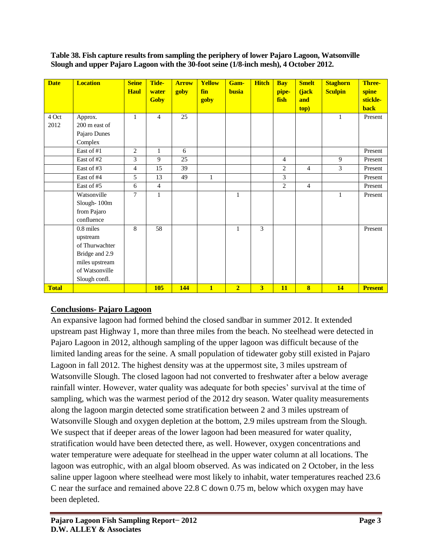#### **Table 38. Fish capture results from sampling the periphery of lower Pajaro Lagoon, Watsonville Slough and upper Pajaro Lagoon with the 30-foot seine (1/8-inch mesh), 4 October 2012.**

| <b>Date</b>   | <b>Location</b>                                                                                                | <b>Seine</b><br><b>Haul</b> | Tide-<br>water<br><b>Goby</b> | <b>Arrow</b><br>goby | <b>Yellow</b><br>fin<br>goby | Gam-<br>busia  | <b>Hitch</b> | <b>Bay</b><br>pipe-<br>fish | <b>Smelt</b><br>(jack<br>and<br>top) | <b>Staghorn</b><br><b>Sculpin</b> | Three-<br>spine<br>stickle-<br><b>back</b> |
|---------------|----------------------------------------------------------------------------------------------------------------|-----------------------------|-------------------------------|----------------------|------------------------------|----------------|--------------|-----------------------------|--------------------------------------|-----------------------------------|--------------------------------------------|
| 4 Oct<br>2012 | Approx.<br>200 m east of<br>Pajaro Dunes<br>Complex                                                            | $\mathbf{1}$                | $\overline{4}$                | 25                   |                              |                |              |                             |                                      | $\mathbf{1}$                      | Present                                    |
|               | East of #1                                                                                                     | $\overline{2}$              | 1                             | 6                    |                              |                |              |                             |                                      |                                   | Present                                    |
|               | East of #2                                                                                                     | 3                           | 9                             | 25                   |                              |                |              | $\overline{4}$              |                                      | 9                                 | Present                                    |
|               | East of #3                                                                                                     | 4                           | 15                            | 39                   |                              |                |              | $\overline{c}$              | $\overline{4}$                       | 3                                 | Present                                    |
|               | East of #4                                                                                                     | 5                           | 13                            | 49                   | $\mathbf{1}$                 |                |              | 3                           |                                      |                                   | Present                                    |
|               | East of #5                                                                                                     | 6                           | $\overline{4}$                |                      |                              |                |              | $\overline{2}$              | $\overline{4}$                       |                                   | Present                                    |
|               | Watsonville<br>Slough-100m<br>from Pajaro<br>confluence                                                        | 7                           | 1                             |                      |                              | $\mathbf{1}$   |              |                             |                                      | 1                                 | Present                                    |
|               | 0.8 miles<br>upstream<br>of Thurwachter<br>Bridge and 2.9<br>miles upstream<br>of Watsonville<br>Slough confl. | 8                           | 58                            |                      |                              | $\mathbf{1}$   | 3            |                             |                                      |                                   | Present                                    |
| <b>Total</b>  |                                                                                                                |                             | <b>105</b>                    | 144                  | $\mathbf{1}$                 | $\overline{2}$ | 3            | 11                          | $\overline{\mathbf{8}}$              | 14                                | <b>Present</b>                             |

## **Conclusions- Pajaro Lagoon**

An expansive lagoon had formed behind the closed sandbar in summer 2012. It extended upstream past Highway 1, more than three miles from the beach. No steelhead were detected in Pajaro Lagoon in 2012, although sampling of the upper lagoon was difficult because of the limited landing areas for the seine. A small population of tidewater goby still existed in Pajaro Lagoon in fall 2012. The highest density was at the uppermost site, 3 miles upstream of Watsonville Slough. The closed lagoon had not converted to freshwater after a below average rainfall winter. However, water quality was adequate for both species' survival at the time of sampling, which was the warmest period of the 2012 dry season. Water quality measurements along the lagoon margin detected some stratification between 2 and 3 miles upstream of Watsonville Slough and oxygen depletion at the bottom, 2.9 miles upstream from the Slough. We suspect that if deeper areas of the lower lagoon had been measured for water quality, stratification would have been detected there, as well. However, oxygen concentrations and water temperature were adequate for steelhead in the upper water column at all locations. The lagoon was eutrophic, with an algal bloom observed. As was indicated on 2 October, in the less saline upper lagoon where steelhead were most likely to inhabit, water temperatures reached 23.6 C near the surface and remained above 22.8 C down 0.75 m, below which oxygen may have been depleted.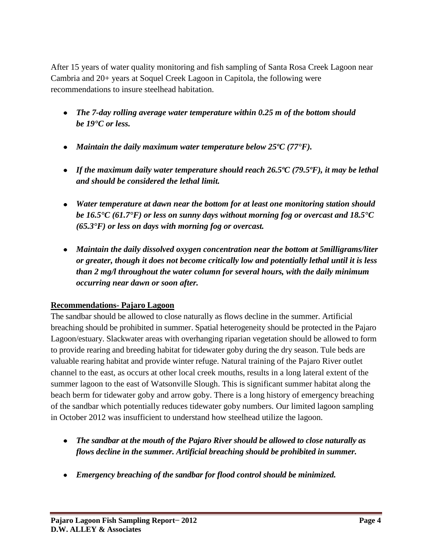After 15 years of water quality monitoring and fish sampling of Santa Rosa Creek Lagoon near Cambria and 20+ years at Soquel Creek Lagoon in Capitola, the following were recommendations to insure steelhead habitation.

- *The 7-day rolling average water temperature within 0.25 m of the bottom should be 19°C or less.*
- *Maintain the daily maximum water temperature below 25ºC (77°F).*
- *If the maximum daily water temperature should reach 26.5ºC (79.5ºF), it may be lethal and should be considered the lethal limit.*
- *Water temperature at dawn near the bottom for at least one monitoring station should be 16.5°C (61.7°F) or less on sunny days without morning fog or overcast and 18.5°C (65.3°F) or less on days with morning fog or overcast.*
- *Maintain the daily dissolved oxygen concentration near the bottom at 5milligrams/liter or greater, though it does not become critically low and potentially lethal until it is less than 2 mg/l throughout the water column for several hours, with the daily minimum occurring near dawn or soon after.*

## **Recommendations- Pajaro Lagoon**

The sandbar should be allowed to close naturally as flows decline in the summer. Artificial breaching should be prohibited in summer. Spatial heterogeneity should be protected in the Pajaro Lagoon/estuary. Slackwater areas with overhanging riparian vegetation should be allowed to form to provide rearing and breeding habitat for tidewater goby during the dry season. Tule beds are valuable rearing habitat and provide winter refuge. Natural training of the Pajaro River outlet channel to the east, as occurs at other local creek mouths, results in a long lateral extent of the summer lagoon to the east of Watsonville Slough. This is significant summer habitat along the beach berm for tidewater goby and arrow goby. There is a long history of emergency breaching of the sandbar which potentially reduces tidewater goby numbers. Our limited lagoon sampling in October 2012 was insufficient to understand how steelhead utilize the lagoon.

- *The sandbar at the mouth of the Pajaro River should be allowed to close naturally as flows decline in the summer. Artificial breaching should be prohibited in summer.*
- *Emergency breaching of the sandbar for flood control should be minimized.*